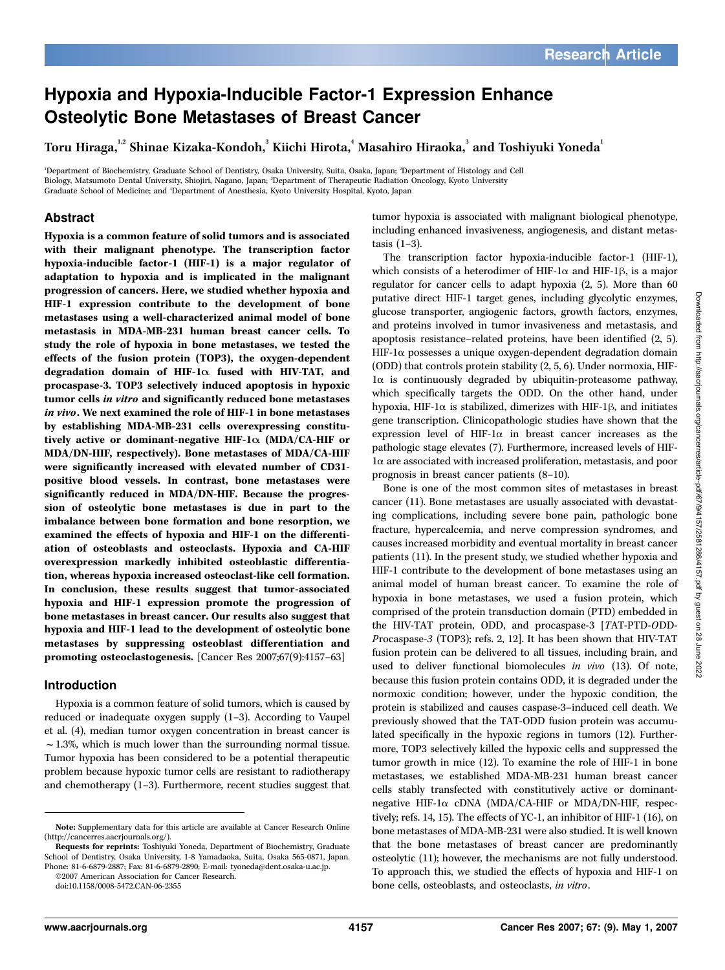# Hypoxia and Hypoxia-Inducible Factor-1 Expression Enhance Osteolytic Bone Metastases of Breast Cancer

Toru Hiraga, $^{\text{!2}}$  Shinae Kizaka-Kondoh, $^{\text{3}}$  Kiichi Hirota, $^{\text{4}}$  Masahiro Hiraoka, $^{\text{3}}$  and Toshiyuki Yoneda $^{\text{1}}$ 

1 Department of Biochemistry, Graduate School of Dentistry, Osaka University, Suita, Osaka, Japan; <sup>2</sup> Department of Histology and Cell Biology, Matsumoto Dental University, Shiojiri, Nagano, Japan; <sup>3</sup> Department of Therapeutic Radiation Oncology, Kyoto University Graduate School of Medicine; and <sup>4</sup> Department of Anesthesia, Kyoto University Hospital, Kyoto, Japan

# Abstract

Hypoxia is a common feature of solid tumors and is associated with their malignant phenotype. The transcription factor hypoxia-inducible factor-1 (HIF-1) is a major regulator of adaptation to hypoxia and is implicated in the malignant progression of cancers. Here, we studied whether hypoxia and HIF-1 expression contribute to the development of bone metastases using a well-characterized animal model of bone metastasis in MDA-MB-231 human breast cancer cells. To study the role of hypoxia in bone metastases, we tested the effects of the fusion protein (TOP3), the oxygen-dependent degradation domain of HIF-1 $\alpha$  fused with HIV-TAT, and procaspase-3. TOP3 selectively induced apoptosis in hypoxic tumor cells in vitro and significantly reduced bone metastases in vivo. We next examined the role of HIF-1 in bone metastases by establishing MDA-MB-231 cells overexpressing constitutively active or dominant-negative HIF-1 $\alpha$  (MDA/CA-HIF or MDA/DN-HIF, respectively). Bone metastases of MDA/CA-HIF were significantly increased with elevated number of CD31 positive blood vessels. In contrast, bone metastases were significantly reduced in MDA/DN-HIF. Because the progression of osteolytic bone metastases is due in part to the imbalance between bone formation and bone resorption, we examined the effects of hypoxia and HIF-1 on the differentiation of osteoblasts and osteoclasts. Hypoxia and CA-HIF overexpression markedly inhibited osteoblastic differentiation, whereas hypoxia increased osteoclast-like cell formation. In conclusion, these results suggest that tumor-associated hypoxia and HIF-1 expression promote the progression of bone metastases in breast cancer. Our results also suggest that hypoxia and HIF-1 lead to the development of osteolytic bone metastases by suppressing osteoblast differentiation and promoting osteoclastogenesis. [Cancer Res 2007;67(9):4157–63]

## Introduction

Hypoxia is a common feature of solid tumors, which is caused by reduced or inadequate oxygen supply (1–3). According to Vaupel et al. (4), median tumor oxygen concentration in breast cancer is  $\sim$  1.3%, which is much lower than the surrounding normal tissue. Tumor hypoxia has been considered to be a potential therapeutic problem because hypoxic tumor cells are resistant to radiotherapy and chemotherapy (1–3). Furthermore, recent studies suggest that

©2007 American Association for Cancer Research.

tumor hypoxia is associated with malignant biological phenotype, including enhanced invasiveness, angiogenesis, and distant metastasis (1–3).

The transcription factor hypoxia-inducible factor-1 (HIF-1), which consists of a heterodimer of HIF-1 $\alpha$  and HIF-1 $\beta$ , is a major regulator for cancer cells to adapt hypoxia (2, 5). More than 60 putative direct HIF-1 target genes, including glycolytic enzymes, glucose transporter, angiogenic factors, growth factors, enzymes, and proteins involved in tumor invasiveness and metastasis, and apoptosis resistance–related proteins, have been identified (2, 5). HIF-1a possesses a unique oxygen-dependent degradation domain (ODD) that controls protein stability (2, 5, 6). Under normoxia, HIF- $1\alpha$  is continuously degraded by ubiquitin-proteasome pathway, which specifically targets the ODD. On the other hand, under hypoxia, HIF-1 $\alpha$  is stabilized, dimerizes with HIF-1 $\beta$ , and initiates gene transcription. Clinicopathologic studies have shown that the expression level of HIF-1 $\alpha$  in breast cancer increases as the pathologic stage elevates (7). Furthermore, increased levels of HIF-1a are associated with increased proliferation, metastasis, and poor prognosis in breast cancer patients (8–10).

Bone is one of the most common sites of metastases in breast cancer (11). Bone metastases are usually associated with devastating complications, including severe bone pain, pathologic bone fracture, hypercalcemia, and nerve compression syndromes, and causes increased morbidity and eventual mortality in breast cancer patients (11). In the present study, we studied whether hypoxia and HIF-1 contribute to the development of bone metastases using an animal model of human breast cancer. To examine the role of hypoxia in bone metastases, we used a fusion protein, which comprised of the protein transduction domain (PTD) embedded in the HIV-TAT protein, ODD, and procaspase-3 [TAT-PTD-ODD-Procaspase-3 (TOP3); refs. 2, 12]. It has been shown that HIV-TAT fusion protein can be delivered to all tissues, including brain, and used to deliver functional biomolecules in vivo (13). Of note, because this fusion protein contains ODD, it is degraded under the normoxic condition; however, under the hypoxic condition, the protein is stabilized and causes caspase-3–induced cell death. We previously showed that the TAT-ODD fusion protein was accumulated specifically in the hypoxic regions in tumors (12). Furthermore, TOP3 selectively killed the hypoxic cells and suppressed the tumor growth in mice (12). To examine the role of HIF-1 in bone metastases, we established MDA-MB-231 human breast cancer cells stably transfected with constitutively active or dominantnegative HIF-1a cDNA (MDA/CA-HIF or MDA/DN-HIF, respectively; refs. 14, 15). The effects of YC-1, an inhibitor of HIF-1 (16), on bone metastases of MDA-MB-231 were also studied. It is well known that the bone metastases of breast cancer are predominantly osteolytic (11); however, the mechanisms are not fully understood. To approach this, we studied the effects of hypoxia and HIF-1 on bone cells, osteoblasts, and osteoclasts, in vitro.

Note: Supplementary data for this article are available at Cancer Research Online (http://cancerres.aacrjournals.org/).

Requests for reprints: Toshiyuki Yoneda, Department of Biochemistry, Graduate School of Dentistry, Osaka University, 1-8 Yamadaoka, Suita, Osaka 565-0871, Japan. Phone: 81-6-6879-2887; Fax: 81-6-6879-2890; E-mail: tyoneda@dent.osaka-u.ac.jp.

doi:10.1158/0008-5472.CAN-06-2355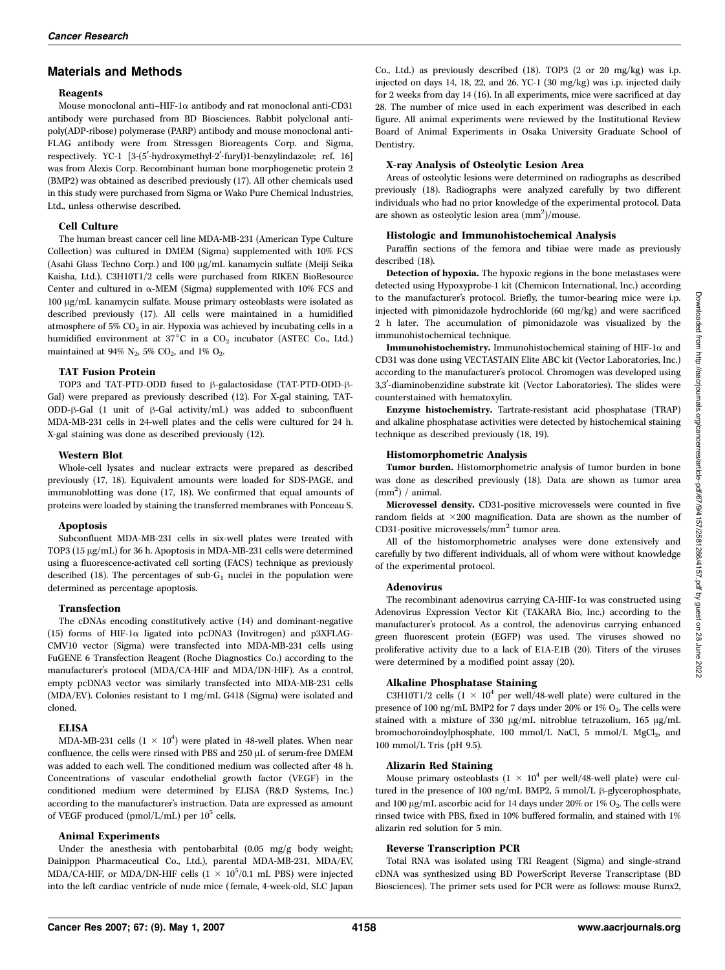## Materials and Methods

#### Reagents

Mouse monoclonal anti–HIF-1a antibody and rat monoclonal anti-CD31 antibody were purchased from BD Biosciences. Rabbit polyclonal antipoly(ADP-ribose) polymerase (PARP) antibody and mouse monoclonal anti-FLAG antibody were from Stressgen Bioreagents Corp. and Sigma, respectively. YC-1 [3-(5'-hydroxymethyl-2'-furyl)1-benzylindazole; ref. 16] was from Alexis Corp. Recombinant human bone morphogenetic protein 2 (BMP2) was obtained as described previously (17). All other chemicals used in this study were purchased from Sigma or Wako Pure Chemical Industries, Ltd., unless otherwise described.

### Cell Culture

The human breast cancer cell line MDA-MB-231 (American Type Culture Collection) was cultured in DMEM (Sigma) supplemented with 10% FCS (Asahi Glass Techno Corp.) and 100 µg/mL kanamycin sulfate (Meiji Seika Kaisha, Ltd.). C3H10T1/2 cells were purchased from RIKEN BioResource Center and cultured in  $\alpha$ -MEM (Sigma) supplemented with 10% FCS and 100 Ag/mL kanamycin sulfate. Mouse primary osteoblasts were isolated as described previously (17). All cells were maintained in a humidified atmosphere of 5%  $CO<sub>2</sub>$  in air. Hypoxia was achieved by incubating cells in a humidified environment at  $37^{\circ}$ C in a CO<sub>2</sub> incubator (ASTEC Co., Ltd.) maintained at 94%  $N_2$ , 5%  $CO_2$ , and 1%  $O_2$ .

### TAT Fusion Protein

TOP3 and TAT-PTD-ODD fused to  $\beta$ -galactosidase (TAT-PTD-ODD- $\beta$ -Gal) were prepared as previously described (12). For X-gal staining, TAT-ODD- $\beta$ -Gal (1 unit of  $\beta$ -Gal activity/mL) was added to subconfluent MDA-MB-231 cells in 24-well plates and the cells were cultured for 24 h. X-gal staining was done as described previously (12).

### Western Blot

Whole-cell lysates and nuclear extracts were prepared as described previously (17, 18). Equivalent amounts were loaded for SDS-PAGE, and immunoblotting was done (17, 18). We confirmed that equal amounts of proteins were loaded by staining the transferred membranes with Ponceau S.

### Apoptosis

Subconfluent MDA-MB-231 cells in six-well plates were treated with TOP3 (15 µg/mL) for 36 h. Apoptosis in MDA-MB-231 cells were determined using a fluorescence-activated cell sorting (FACS) technique as previously described (18). The percentages of sub- $G_1$  nuclei in the population were determined as percentage apoptosis.

#### Transfection

The cDNAs encoding constitutively active (14) and dominant-negative (15) forms of HIF-1 $\alpha$  ligated into pcDNA3 (Invitrogen) and p3XFLAG-CMV10 vector (Sigma) were transfected into MDA-MB-231 cells using FuGENE 6 Transfection Reagent (Roche Diagnostics Co.) according to the manufacturer's protocol (MDA/CA-HIF and MDA/DN-HIF). As a control, empty pcDNA3 vector was similarly transfected into MDA-MB-231 cells (MDA/EV). Colonies resistant to 1 mg/mL G418 (Sigma) were isolated and cloned.

### ELISA

MDA-MB-231 cells  $(1 \times 10^4)$  were plated in 48-well plates. When near confluence, the cells were rinsed with PBS and  $250 \mu$ L of serum-free DMEM was added to each well. The conditioned medium was collected after 48 h. Concentrations of vascular endothelial growth factor (VEGF) in the conditioned medium were determined by ELISA (R&D Systems, Inc.) according to the manufacturer's instruction. Data are expressed as amount  $% \mathcal{N}$ of VEGF produced (pmol/L/mL) per  $10^5$  cells.

### Animal Experiments

Under the anesthesia with pentobarbital (0.05 mg/g body weight; Dainippon Pharmaceutical Co., Ltd.), parental MDA-MB-231, MDA/EV, MDA/CA-HIF, or MDA/DN-HIF cells  $(1 \times 10^5/0.1 \text{ mL PBS})$  were injected into the left cardiac ventricle of nude mice (female, 4-week-old, SLC Japan Co., Ltd.) as previously described (18). TOP3 (2 or 20 mg/kg) was i.p. injected on days 14, 18, 22, and 26. YC-1 (30 mg/kg) was i.p. injected daily for 2 weeks from day 14 (16). In all experiments, mice were sacrificed at day 28. The number of mice used in each experiment was described in each figure. All animal experiments were reviewed by the Institutional Review Board of Animal Experiments in Osaka University Graduate School of Dentistry.

#### X-ray Analysis of Osteolytic Lesion Area

Areas of osteolytic lesions were determined on radiographs as described previously (18). Radiographs were analyzed carefully by two different individuals who had no prior knowledge of the experimental protocol. Data are shown as osteolytic lesion area  $(nm^2)/$ mouse.

#### Histologic and Immunohistochemical Analysis

Paraffin sections of the femora and tibiae were made as previously described (18).

Detection of hypoxia. The hypoxic regions in the bone metastases were detected using Hypoxyprobe-1 kit (Chemicon International, Inc.) according to the manufacturer's protocol. Briefly, the tumor-bearing mice were i.p. injected with pimonidazole hydrochloride (60 mg/kg) and were sacrificed 2 h later. The accumulation of pimonidazole was visualized by the immunohistochemical technique.

Immunohistochemistry. Immunohistochemical staining of HIF-1 $\alpha$  and CD31 was done using VECTASTAIN Elite ABC kit (Vector Laboratories, Inc.) according to the manufacturer's protocol. Chromogen was developed using 3,3'-diaminobenzidine substrate kit (Vector Laboratories). The slides were counterstained with hematoxylin.

Enzyme histochemistry. Tartrate-resistant acid phosphatase (TRAP) and alkaline phosphatase activities were detected by histochemical staining technique as described previously (18, 19).

#### Histomorphometric Analysis

Tumor burden. Histomorphometric analysis of tumor burden in bone was done as described previously (18). Data are shown as tumor area  $(mm<sup>2</sup>)$  / animal.

Microvessel density. CD31-positive microvessels were counted in five random fields at 200 magnification. Data are shown as the number of CD31-positive microvessels/mm<sup>2</sup> tumor area.

All of the histomorphometric analyses were done extensively and carefully by two different individuals, all of whom were without knowledge of the experimental protocol.

#### Adenovirus

The recombinant adenovirus carrying CA-HIF-1 $\alpha$  was constructed using Adenovirus Expression Vector Kit (TAKARA Bio, Inc.) according to the manufacturer's protocol. As a control, the adenovirus carrying enhanced green fluorescent protein (EGFP) was used. The viruses showed no proliferative activity due to a lack of E1A-E1B (20). Titers of the viruses were determined by a modified point assay (20).

### Alkaline Phosphatase Staining

C3H10T1/2 cells  $(1 \times 10^4$  per well/48-well plate) were cultured in the presence of 100 ng/mL BMP2 for 7 days under 20% or 1%  $O_2$ . The cells were stained with a mixture of 330 µg/mL nitroblue tetrazolium, 165 µg/mL bromochoroindoylphosphate, 100 mmol/L NaCl, 5 mmol/L MgCl<sub>2</sub>, and 100 mmol/L Tris (pH 9.5).

#### Alizarin Red Staining

Mouse primary osteoblasts  $(1 \times 10^4$  per well/48-well plate) were cultured in the presence of 100 ng/mL BMP2, 5 mmol/L  $\beta$ -glycerophosphate, and 100  $\upmu\text{g/mL}$  ascorbic acid for 14 days under 20% or 1%  $\text{O}_2.$  The cells were rinsed twice with PBS, fixed in 10% buffered formalin, and stained with 1% alizarin red solution for 5 min.

### Reverse Transcription PCR

Total RNA was isolated using TRI Reagent (Sigma) and single-strand cDNA was synthesized usingBD PowerScript Reverse Transcriptase (BD Biosciences). The primer sets used for PCR were as follows: mouse Runx2,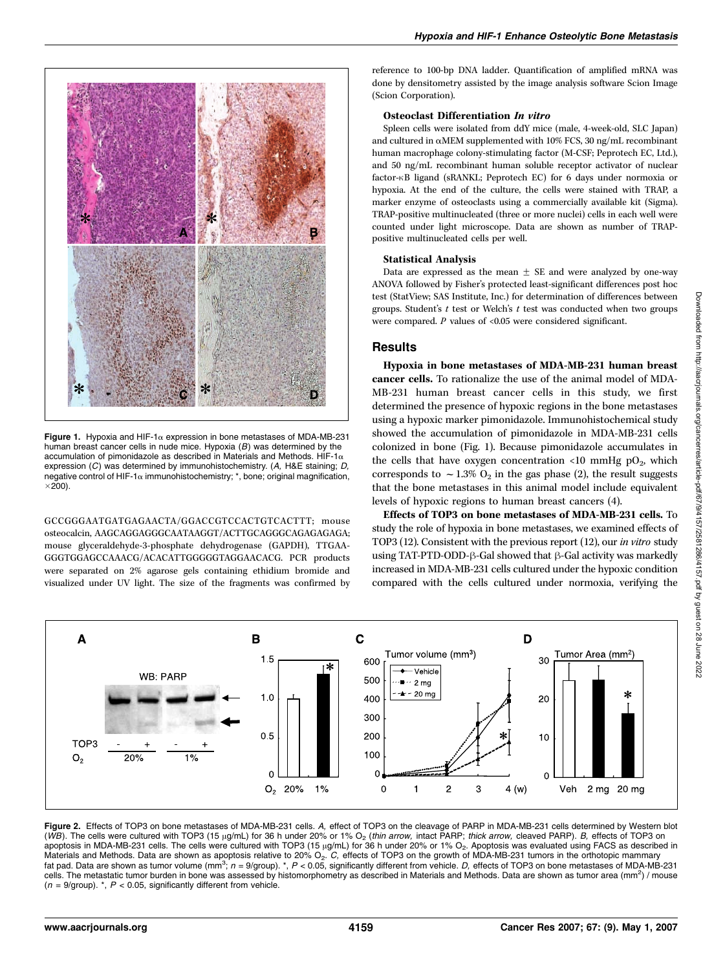



Figure 1. Hypoxia and HIF-1 $\alpha$  expression in bone metastases of MDA-MB-231 human breast cancer cells in nude mice. Hypoxia  $(B)$  was determined by the accumulation of pimonidazole as described in Materials and Methods. HIF-1 $\alpha$ expression  $(C)$  was determined by immunohistochemistry.  $(A, B \times E)$  staining: D, negative control of HIF-1 $\alpha$  immunohistochemistry;  $*$ , bone; original magnification,  $\times$ 200).

GCCGGGAATGATGAGAACTA/GGACCGTCCACTGTCACTTT; mouse osteocalcin, AAGCAGGAGGGCAATAAGGT/ACTTGCAGGGCAGAGAGAGA; mouse glyceraldehyde-3-phosphate dehydrogenase (GAPDH), TTGAA-GGGTGGAGCCAAACG/ACACATTGGGGGTAGGAACACG. PCR products were separated on 2% agarose gels containing ethidium bromide and visualized under UV light. The size of the fragments was confirmed by

reference to 100-bp DNA ladder. Quantification of amplified mRNA was done by densitometry assisted by the image analysis software Scion Image (Scion Corporation).

#### Osteoclast Differentiation In vitro

Spleen cells were isolated from ddY mice (male, 4-week-old, SLC Japan) and cultured in aMEM supplemented with 10% FCS, 30 ng/mL recombinant human macrophage colony-stimulating factor (M-CSF; Peprotech EC, Ltd.), and 50 ng/mL recombinant human soluble receptor activator of nuclear factor- $\kappa$ B ligand (sRANKL; Peprotech EC) for 6 days under normoxia or hypoxia. At the end of the culture, the cells were stained with TRAP, a marker enzyme of osteoclasts usinga commercially available kit (Sigma). TRAP-positive multinucleated (three or more nuclei) cells in each well were counted under light microscope. Data are shown as number of TRAPpositive multinucleated cells per well.

#### Statistical Analysis

Data are expressed as the mean  $\pm$  SE and were analyzed by one-way ANOVA followed by Fisher's protected least-significant differences post hoc test (StatView; SAS Institute, Inc.) for determination of differences between groups. Student's  $t$  test or Welch's  $t$  test was conducted when two groups were compared.  $P$  values of <0.05 were considered significant.

### **Results**

Hypoxia in bone metastases of MDA-MB-231 human breast cancer cells. To rationalize the use of the animal model of MDA-MB-231 human breast cancer cells in this study, we first determined the presence of hypoxic regions in the bone metastases usinga hypoxic marker pimonidazole. Immunohistochemical study showed the accumulation of pimonidazole in MDA-MB-231 cells colonized in bone (Fig. 1). Because pimonidazole accumulates in the cells that have oxygen concentration <10 mmHg  $pO_2$ , which corresponds to  $\sim$  1.3% O<sub>2</sub> in the gas phase (2), the result suggests that the bone metastases in this animal model include equivalent levels of hypoxic regions to human breast cancers (4).

Effects of TOP3 on bone metastases of MDA-MB-231 cells. To study the role of hypoxia in bone metastases, we examined effects of TOP3 (12). Consistent with the previous report (12), our in vitro study using TAT-PTD-ODD- $\beta$ -Gal showed that  $\beta$ -Gal activity was markedly increased in MDA-MB-231 cells cultured under the hypoxic condition compared with the cells cultured under normoxia, verifying the



Figure 2. Effects of TOP3 on bone metastases of MDA-MB-231 cells. A, effect of TOP3 on the cleavage of PARP in MDA-MB-231 cells determined by Western blot (WB). The cells were cultured with TOP3 (15 µg/mL) for 36 h under 20% or 1% O<sub>2</sub> (thin arrow, intact PARP; thick arrow, cleaved PARP). B, effects of TOP3 on apoptosis in MDA-MB-231 cells. The cells were cultured with TOP3 (15  $\mu$ g/mL) for 36 h under 20% or 1% O<sub>2</sub>. Apoptosis was evaluated using FACS as described in Materials and Methods. Data are shown as apoptosis relative to 20% O<sub>2</sub>. C, effects of TOP3 on the growth of MDA-MB-231 tumors in the orthotopic mammary fat pad. Data are shown as tumor volume (mm<sup>3</sup>;  $n = 9$ /group). \*,  $P < 0.05$ , significantly different from vehicle. D, effects of TOP3 on bone metastases of MDA-MB-231 cells. The metastatic tumor burden in bone was assessed by histomorphometry as described in Materials and Methods. Data are shown as tumor area (mm<sup>2</sup>) / mouse  $(n = 9$ /group).  $\kappa$ ,  $P < 0.05$ , significantly different from vehicle.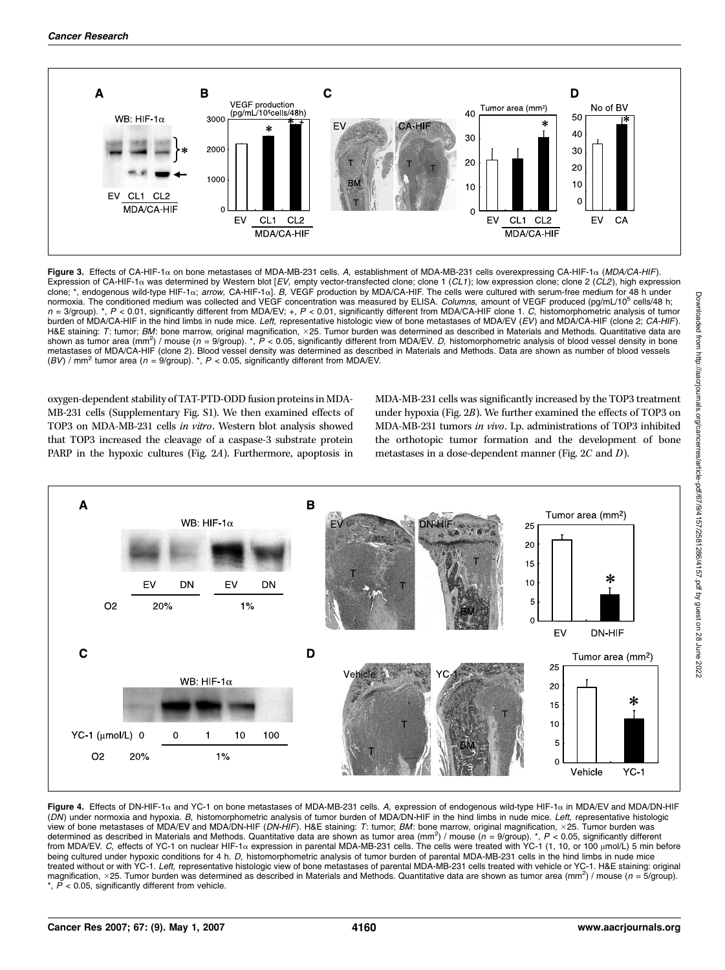

Figure 3. Effects of CA-HIF-1a on bone metastases of MDA-MB-231 cells. A, establishment of MDA-MB-231 cells overexpressing CA-HIF-1a (MDA/CA-HIF). Expression of CA-HIF-1 $\alpha$  was determined by Western blot [EV, empty vector-transfected clone; clone 1 (CL1); low expression clone; clone 2 (CL2), high expression clone; \*, endogenous wild-type HIF-1a; arrow, CA-HIF-1a]. B, VEGF production by MDA/CA-HIF. The cells were cultured with serum-free medium for 48 h under normoxia. The conditioned medium was collected and VEGF concentration was measured by ELISA. Columns, amount of VEGF produced (pg/mL/10<sup>5</sup> cells/48 h;  $n = 3$  group). \*,  $P < 0.01$ , significantly different from MDA/EV; +,  $P < 0.01$ , significantly different from MDA/CA-HIF clone 1. C, histomorphometric analysis of tumor burden of MDA/CA-HIF in the hind limbs in nude mice. Left, representative histologic view of bone metastases of MDA/EV (EV) and MDA/CA-HIF (clone 2; CA-HIF). H&E staining: T: tumor; BM: bone marrow, original magnification, ×25. Tumor burden was determined as described in Materials and Methods. Quantitative data are shown as tumor area (mm<sup>2</sup>) / mouse (n = 9/group). \*, P < 0.05, significantly different from MDA/EV. D, histomorphometric analysis of blood vessel density in bone metastases of MDA/CA-HIF (clone 2). Blood vessel density was determined as described in Materials and Methods. Data are shown as number of blood vessels (BV) / mm<sup>2</sup> tumor area ( $n = 9$ /group). \*, P < 0.05, significantly different from MDA/EV.

oxygen-dependent stability of TAT-PTD-ODD fusion proteins in MDA-MB-231 cells (Supplementary Fig. S1). We then examined effects of TOP3 on MDA-MB-231 cells in vitro. Western blot analysis showed that TOP3 increased the cleavage of a caspase-3 substrate protein PARP in the hypoxic cultures (Fig. 2A). Furthermore, apoptosis in

MDA-MB-231 cells was significantly increased by the TOP3 treatment under hypoxia (Fig. 2B). We further examined the effects of TOP3 on MDA-MB-231 tumors in vivo. I.p. administrations of TOP3 inhibited the orthotopic tumor formation and the development of bone metastases in a dose-dependent manner (Fig. 2C and D).



Figure 4. Effects of DN-HIF-1a and YC-1 on bone metastases of MDA-MB-231 cells. A, expression of endogenous wild-type HIF-1a in MDA/EV and MDA/DN-HIF (DN) under normoxia and hypoxia. B, histomorphometric analysis of tumor burden of MDA/DN-HIF in the hind limbs in nude mice. Left, representative histologic view of bone metastases of MDA/EV and MDA/DN-HIF (DN-HIF). H&E staining: T: tumor; BM: bone marrow, original magnification, ×25. Tumor burden was determined as described in Materials and Methods. Quantitative data are shown as tumor area (mm<sup>2</sup>) / mouse ( $n = 9$ /group). \*, P < 0.05, significantly different from MDA/EV. C, effects of YC-1 on nuclear HIF-1 $\alpha$  expression in parental MDA-MB-231 cells. The cells were treated with YC-1 (1, 10, or 100  $\mu$ mol/L) 5 min before being cultured under hypoxic conditions for 4 h. D, histomorphometric analysis of tumor burden of parental MDA-MB-231 cells in the hind limbs in nude mice treated without or with YC-1. Left, representative histologic view of bone metastases of parental MDA-MB-231 cells treated with vehicle or YC-1. H&E staining: original magnification, ×25. Tumor burden was determined as described in Materials and Methods. Quantitative data are shown as tumor area (mm<sup>2</sup>) / mouse (n = 5/group). \*,  $\overline{P}$  < 0.05, significantly different from vehicle.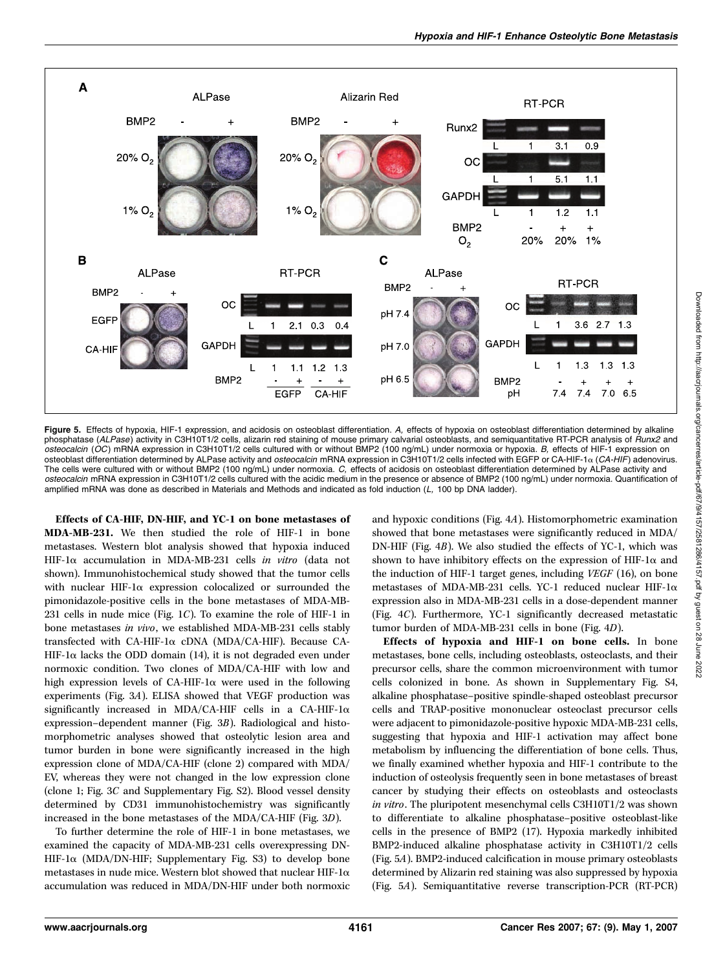

Figure 5. Effects of hypoxia, HIF-1 expression, and acidosis on osteoblast differentiation. A, effects of hypoxia on osteoblast differentiation determined by alkaline phosphatase (ALPase) activity in C3H10T1/2 cells, alizarin red staining of mouse primary calvarial osteoblasts, and semiquantitative RT-PCR analysis of Runx2 and osteocalcin (OC) mRNA expression in C3H10T1/2 cells cultured with or without BMP2 (100 ng/mL) under normoxia or hypoxia. B, effects of HIF-1 expression on osteoblast differentiation determined by ALPase activity and *osteocalcin* mRNA expression in C3H10T1/2 cells infected with EGFP or CA-HIF-1α (CA-HIF) adenovirus. The cells were cultured with or without BMP2 (100 ng/mL) under normoxia. C, effects of acidosis on osteoblast differentiation determined by ALPase activity and osteocalcin mRNA expression in C3H10T1/2 cells cultured with the acidic medium in the presence or absence of BMP2 (100 ng/mL) under normoxia. Quantification of amplified mRNA was done as described in Materials and Methods and indicated as fold induction (L, 100 bp DNA ladder).

Effects of CA-HIF, DN-HIF, and YC-1 on bone metastases of MDA-MB-231. We then studied the role of HIF-1 in bone metastases. Western blot analysis showed that hypoxia induced HIF-1a accumulation in MDA-MB-231 cells in vitro (data not shown). Immunohistochemical study showed that the tumor cells with nuclear HIF-1 $\alpha$  expression colocalized or surrounded the pimonidazole-positive cells in the bone metastases of MDA-MB-231 cells in nude mice (Fig. 1C). To examine the role of HIF-1 in bone metastases in vivo, we established MDA-MB-231 cells stably transfected with CA-HIF-1a cDNA (MDA/CA-HIF). Because CA-HIF-1 $\alpha$  lacks the ODD domain (14), it is not degraded even under normoxic condition. Two clones of MDA/CA-HIF with low and high expression levels of CA-HIF-1 $\alpha$  were used in the following experiments (Fig. 3A). ELISA showed that VEGF production was significantly increased in MDA/CA-HIF cells in a CA-HIF-1 $\alpha$ expression–dependent manner (Fig. 3B). Radiological and histomorphometric analyses showed that osteolytic lesion area and tumor burden in bone were significantly increased in the high expression clone of MDA/CA-HIF (clone 2) compared with MDA/ EV, whereas they were not changed in the low expression clone (clone 1; Fig. 3C and Supplementary Fig. S2). Blood vessel density determined by CD31 immunohistochemistry was significantly increased in the bone metastases of the MDA/CA-HIF (Fig. 3D).

To further determine the role of HIF-1 in bone metastases, we examined the capacity of MDA-MB-231 cells overexpressing DN-HIF-1 $\alpha$  (MDA/DN-HIF; Supplementary Fig. S3) to develop bone metastases in nude mice. Western blot showed that nuclear HIF-1 $\alpha$ accumulation was reduced in MDA/DN-HIF under both normoxic and hypoxic conditions (Fig. 4A). Histomorphometric examination showed that bone metastases were significantly reduced in MDA/ DN-HIF (Fig. 4B). We also studied the effects of YC-1, which was shown to have inhibitory effects on the expression of HIF-1 $\alpha$  and the induction of HIF-1 target genes, including VEGF (16), on bone metastases of MDA-MB-231 cells. YC-1 reduced nuclear HIF-1 $\alpha$ expression also in MDA-MB-231 cells in a dose-dependent manner (Fig. 4C). Furthermore, YC-1 significantly decreased metastatic tumor burden of MDA-MB-231 cells in bone (Fig. 4D).

Effects of hypoxia and HIF-1 on bone cells. In bone metastases, bone cells, including osteoblasts, osteoclasts, and their precursor cells, share the common microenvironment with tumor cells colonized in bone. As shown in Supplementary Fig. S4, alkaline phosphatase–positive spindle-shaped osteoblast precursor cells and TRAP-positive mononuclear osteoclast precursor cells were adjacent to pimonidazole-positive hypoxic MDA-MB-231 cells, suggesting that hypoxia and HIF-1 activation may affect bone metabolism by influencing the differentiation of bone cells. Thus, we finally examined whether hypoxia and HIF-1 contribute to the induction of osteolysis frequently seen in bone metastases of breast cancer by studying their effects on osteoblasts and osteoclasts in vitro. The pluripotent mesenchymal cells C3H10T1/2 was shown to differentiate to alkaline phosphatase–positive osteoblast-like cells in the presence of BMP2 (17). Hypoxia markedly inhibited BMP2-induced alkaline phosphatase activity in C3H10T1/2 cells (Fig. 5A). BMP2-induced calcification in mouse primary osteoblasts determined by Alizarin red stainingwas also suppressed by hypoxia (Fig. 5A). Semiquantitative reverse transcription-PCR (RT-PCR)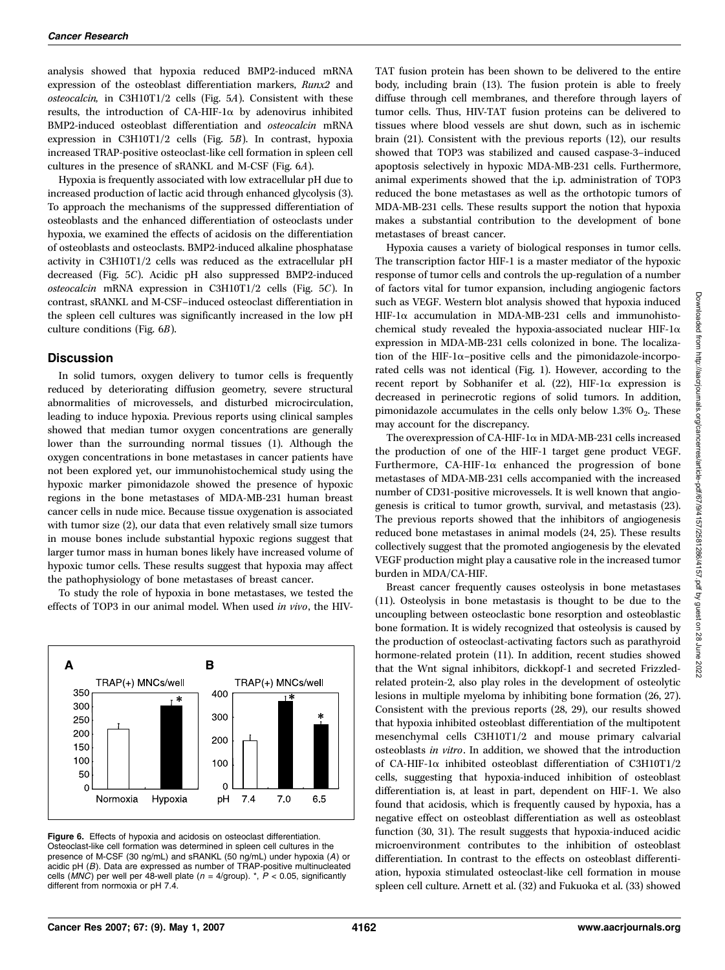analysis showed that hypoxia reduced BMP2-induced mRNA expression of the osteoblast differentiation markers, Runx2 and osteocalcin, in C3H10T1/2 cells (Fig. 5A). Consistent with these results, the introduction of CA-HIF-1 $\alpha$  by adenovirus inhibited BMP2-induced osteoblast differentiation and osteocalcin mRNA expression in C3H10T1/2 cells (Fig. 5B). In contrast, hypoxia increased TRAP-positive osteoclast-like cell formation in spleen cell cultures in the presence of sRANKL and M-CSF (Fig. 6A).

Hypoxia is frequently associated with low extracellular pH due to increased production of lactic acid through enhanced glycolysis (3). To approach the mechanisms of the suppressed differentiation of osteoblasts and the enhanced differentiation of osteoclasts under hypoxia, we examined the effects of acidosis on the differentiation of osteoblasts and osteoclasts. BMP2-induced alkaline phosphatase activity in C3H10T1/2 cells was reduced as the extracellular pH decreased (Fig. 5C). Acidic pH also suppressed BMP2-induced osteocalcin mRNA expression in C3H10T1/2 cells (Fig. 5C). In contrast, sRANKL and M-CSF–induced osteoclast differentiation in the spleen cell cultures was significantly increased in the low pH culture conditions (Fig. 6B).

## **Discussion**

In solid tumors, oxygen delivery to tumor cells is frequently reduced by deteriorating diffusion geometry, severe structural abnormalities of microvessels, and disturbed microcirculation, leading to induce hypoxia. Previous reports using clinical samples showed that median tumor oxygen concentrations are generally lower than the surrounding normal tissues (1). Although the oxygen concentrations in bone metastases in cancer patients have not been explored yet, our immunohistochemical study using the hypoxic marker pimonidazole showed the presence of hypoxic regions in the bone metastases of MDA-MB-231 human breast cancer cells in nude mice. Because tissue oxygenation is associated with tumor size (2), our data that even relatively small size tumors in mouse bones include substantial hypoxic regions suggest that larger tumor mass in human bones likely have increased volume of hypoxic tumor cells. These results suggest that hypoxia may affect the pathophysiology of bone metastases of breast cancer.

To study the role of hypoxia in bone metastases, we tested the effects of TOP3 in our animal model. When used in vivo, the HIV-



Figure 6. Effects of hypoxia and acidosis on osteoclast differentiation. Osteoclast-like cell formation was determined in spleen cell cultures in the presence of M-CSF (30 ng/mL) and sRANKL (50 ng/mL) under hypoxia (A) or acidic pH (B). Data are expressed as number of TRAP-positive multinucleated cells (MNC) per well per 48-well plate ( $n = 4$ /group). \*,  $P < 0.05$ , significantly different from normoxia or pH 7.4.

TAT fusion protein has been shown to be delivered to the entire body, including brain (13). The fusion protein is able to freely diffuse through cell membranes, and therefore through layers of tumor cells. Thus, HIV-TAT fusion proteins can be delivered to tissues where blood vessels are shut down, such as in ischemic brain (21). Consistent with the previous reports (12), our results showed that TOP3 was stabilized and caused caspase-3–induced apoptosis selectively in hypoxic MDA-MB-231 cells. Furthermore, animal experiments showed that the i.p. administration of TOP3 reduced the bone metastases as well as the orthotopic tumors of MDA-MB-231 cells. These results support the notion that hypoxia makes a substantial contribution to the development of bone metastases of breast cancer.

Hypoxia causes a variety of biological responses in tumor cells. The transcription factor HIF-1 is a master mediator of the hypoxic response of tumor cells and controls the up-regulation of a number of factors vital for tumor expansion, including angiogenic factors such as VEGF. Western blot analysis showed that hypoxia induced HIF-1a accumulation in MDA-MB-231 cells and immunohistochemical study revealed the hypoxia-associated nuclear HIF-1 $\alpha$ expression in MDA-MB-231 cells colonized in bone. The localization of the HIF-1 $\alpha$ -positive cells and the pimonidazole-incorporated cells was not identical (Fig. 1). However, according to the recent report by Sobhanifer et al.  $(22)$ , HIF-1 $\alpha$  expression is decreased in perinecrotic regions of solid tumors. In addition, pimonidazole accumulates in the cells only below  $1.3\%$  O<sub>2</sub>. These may account for the discrepancy.

The overexpression of CA-HIF-1 $\alpha$  in MDA-MB-231 cells increased the production of one of the HIF-1 target gene product VEGF. Furthermore, CA-HIF-1 $\alpha$  enhanced the progression of bone metastases of MDA-MB-231 cells accompanied with the increased number of CD31-positive microvessels. It is well known that angiogenesis is critical to tumor growth, survival, and metastasis (23). The previous reports showed that the inhibitors of angiogenesis reduced bone metastases in animal models (24, 25). These results collectively suggest that the promoted angiogenesis by the elevated VEGF production might play a causative role in the increased tumor burden in MDA/CA-HIF.

Breast cancer frequently causes osteolysis in bone metastases (11). Osteolysis in bone metastasis is thought to be due to the uncoupling between osteoclastic bone resorption and osteoblastic bone formation. It is widely recognized that osteolysis is caused by the production of osteoclast-activating factors such as parathyroid hormone-related protein (11). In addition, recent studies showed that the Wnt signal inhibitors, dickkopf-1 and secreted Frizzledrelated protein-2, also play roles in the development of osteolytic lesions in multiple myeloma by inhibiting bone formation (26, 27). Consistent with the previous reports (28, 29), our results showed that hypoxia inhibited osteoblast differentiation of the multipotent mesenchymal cells C3H10T1/2 and mouse primary calvarial osteoblasts in vitro. In addition, we showed that the introduction of CA-HIF-1a inhibited osteoblast differentiation of C3H10T1/2 cells, suggesting that hypoxia-induced inhibition of osteoblast differentiation is, at least in part, dependent on HIF-1. We also found that acidosis, which is frequently caused by hypoxia, has a negative effect on osteoblast differentiation as well as osteoblast function (30, 31). The result suggests that hypoxia-induced acidic microenvironment contributes to the inhibition of osteoblast differentiation. In contrast to the effects on osteoblast differentiation, hypoxia stimulated osteoclast-like cell formation in mouse spleen cell culture. Arnett et al. (32) and Fukuoka et al. (33) showed